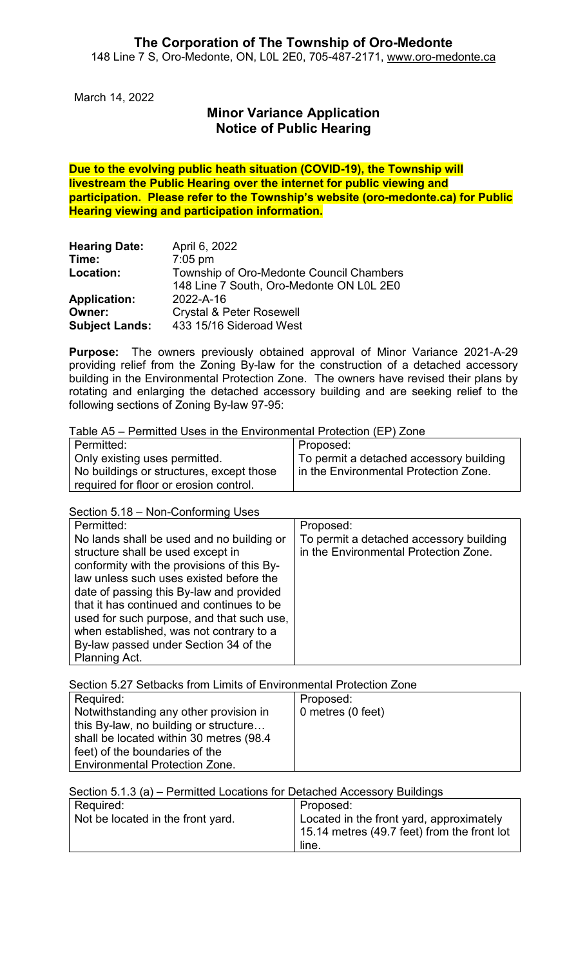March 14, 2022

# **Minor Variance Application Notice of Public Hearing**

**Due to the evolving public heath situation (COVID-19), the Township will livestream the Public Hearing over the internet for public viewing and participation. Please refer to the Township's website (oro-medonte.ca) for Public Hearing viewing and participation information.**

| <b>Hearing Date:</b>  | April 6, 2022                            |
|-----------------------|------------------------------------------|
| Time:                 | $7:05$ pm                                |
| Location:             | Township of Oro-Medonte Council Chambers |
|                       | 148 Line 7 South, Oro-Medonte ON L0L 2E0 |
| <b>Application:</b>   | 2022-A-16                                |
| Owner:                | <b>Crystal &amp; Peter Rosewell</b>      |
| <b>Subject Lands:</b> | 433 15/16 Sideroad West                  |

**Purpose:** The owners previously obtained approval of Minor Variance 2021-A-29 providing relief from the Zoning By-law for the construction of a detached accessory building in the Environmental Protection Zone. The owners have revised their plans by rotating and enlarging the detached accessory building and are seeking relief to the following sections of Zoning By-law 97-95:

Table A5 – Permitted Uses in the Environmental Protection (EP) Zone

| l Permitted:                             | Proposed:                               |
|------------------------------------------|-----------------------------------------|
| Only existing uses permitted.            | To permit a detached accessory building |
| No buildings or structures, except those | In the Environmental Protection Zone.   |
| l reauired for floor or erosion control. |                                         |

Section 5.18 – Non-Conforming Uses

| Permitted:                                                                                                                                                                                                                                                                                                                                                                                                         | Proposed:                                                                        |
|--------------------------------------------------------------------------------------------------------------------------------------------------------------------------------------------------------------------------------------------------------------------------------------------------------------------------------------------------------------------------------------------------------------------|----------------------------------------------------------------------------------|
| No lands shall be used and no building or<br>structure shall be used except in<br>conformity with the provisions of this By-<br>law unless such uses existed before the<br>date of passing this By-law and provided<br>that it has continued and continues to be<br>used for such purpose, and that such use,<br>when established, was not contrary to a<br>By-law passed under Section 34 of the<br>Planning Act. | To permit a detached accessory building<br>in the Environmental Protection Zone. |

Section 5.27 Setbacks from Limits of Environmental Protection Zone

| Required:                                | Proposed:         |
|------------------------------------------|-------------------|
| Notwithstanding any other provision in   | 0 metres (0 feet) |
| this By-law, no building or structure    |                   |
| shall be located within 30 metres (98.4) |                   |
| feet) of the boundaries of the           |                   |
| <b>Environmental Protection Zone.</b>    |                   |

Section 5.1.3 (a) – Permitted Locations for Detached Accessory Buildings

| Required:                         | Proposed:                                   |
|-----------------------------------|---------------------------------------------|
| Not be located in the front yard. | Located in the front yard, approximately    |
|                                   | 15.14 metres (49.7 feet) from the front lot |
|                                   | line.                                       |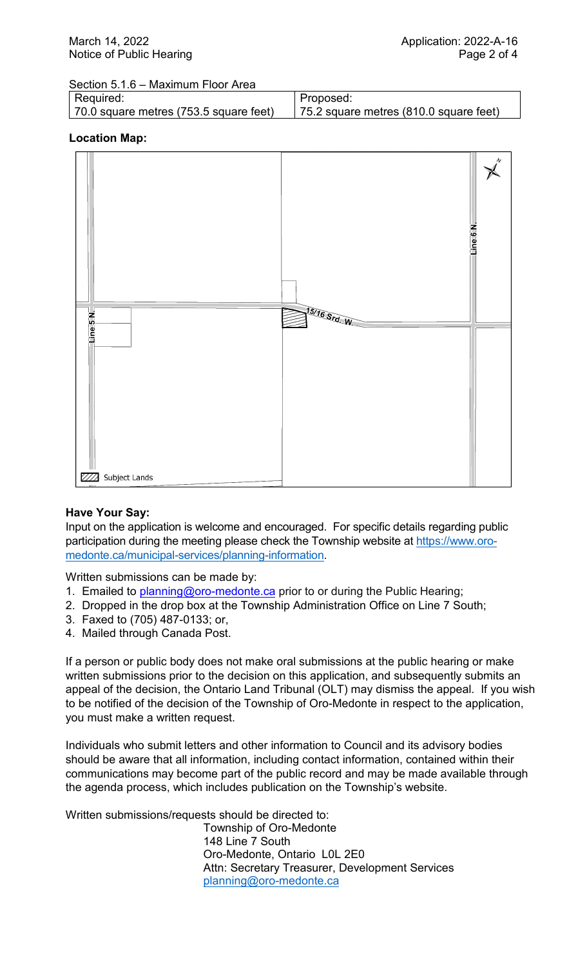Section 5.1.6 – Maximum Floor Area

| Required:                              | Proposed:                                |
|----------------------------------------|------------------------------------------|
| 70.0 square metres (753.5 square feet) | 75.2 square metres $(810.0$ square feet) |

### **Location Map:**



#### **Have Your Say:**

Input on the application is welcome and encouraged. For specific details regarding public participation during the meeting please check the Township website at [https://www.oro](https://www.oro-medonte.ca/municipal-services/planning-information)[medonte.ca/municipal-services/planning-information.](https://www.oro-medonte.ca/municipal-services/planning-information)

Written submissions can be made by:

- 1. Emailed to **planning@oro-medonte.ca** prior to or during the Public Hearing;
- 2. Dropped in the drop box at the Township Administration Office on Line 7 South;
- 3. Faxed to (705) 487-0133; or,
- 4. Mailed through Canada Post.

If a person or public body does not make oral submissions at the public hearing or make written submissions prior to the decision on this application, and subsequently submits an appeal of the decision, the Ontario Land Tribunal (OLT) may dismiss the appeal. If you wish to be notified of the decision of the Township of Oro-Medonte in respect to the application, you must make a written request.

Individuals who submit letters and other information to Council and its advisory bodies should be aware that all information, including contact information, contained within their communications may become part of the public record and may be made available through the agenda process, which includes publication on the Township's website.

Written submissions/requests should be directed to:

Township of Oro-Medonte 148 Line 7 South Oro-Medonte, Ontario L0L 2E0 Attn: Secretary Treasurer, Development Services [planning@oro-medonte.ca](mailto:planning@oro-medonte.ca)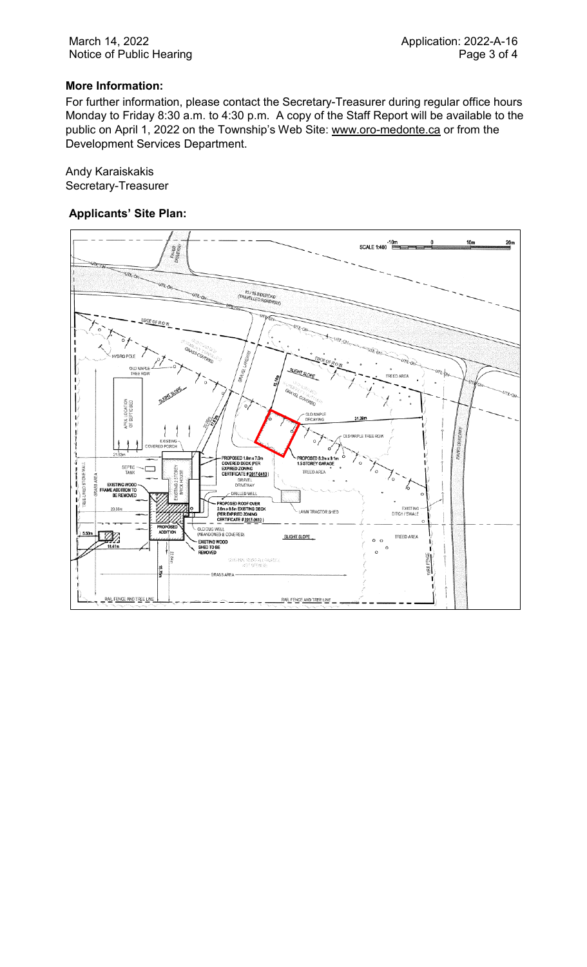### **More Information:**

For further information, please contact the Secretary-Treasurer during regular office hours Monday to Friday 8:30 a.m. to 4:30 p.m. A copy of the Staff Report will be available to the public on April 1, 2022 on the Township's Web Site: [www.oro-medonte.ca](http://www.oro-medonte.ca/) or from the Development Services Department.

Andy Karaiskakis Secretary-Treasurer

#### **Applicants' Site Plan:**